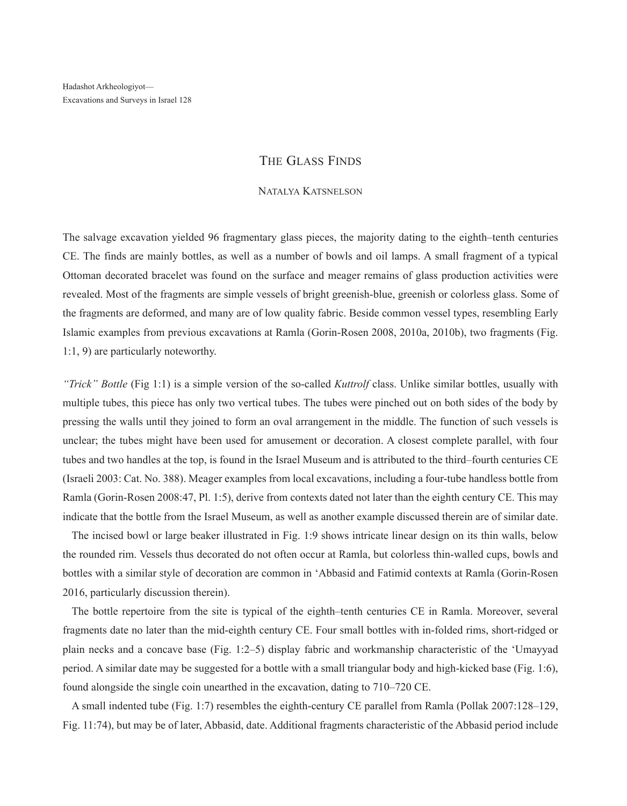## The Glass Finds

## Natalya Katsnelson

The salvage excavation yielded 96 fragmentary glass pieces, the majority dating to the eighth–tenth centuries CE. The finds are mainly bottles, as well as a number of bowls and oil lamps. A small fragment of a typical Ottoman decorated bracelet was found on the surface and meager remains of glass production activities were revealed. Most of the fragments are simple vessels of bright greenish-blue, greenish or colorless glass. Some of the fragments are deformed, and many are of low quality fabric. Beside common vessel types, resembling Early Islamic examples from previous excavations at Ramla (Gorin-Rosen 2008, 2010a, 2010b), two fragments (Fig. 1:1, 9) are particularly noteworthy.

*"Trick" Bottle* (Fig 1:1) is a simple version of the so-called *Kuttrolf* class. Unlike similar bottles, usually with multiple tubes, this piece has only two vertical tubes. The tubes were pinched out on both sides of the body by pressing the walls until they joined to form an oval arrangement in the middle. The function of such vessels is unclear; the tubes might have been used for amusement or decoration. A closest complete parallel, with four tubes and two handles at the top, is found in the Israel Museum and is attributed to the third–fourth centuries CE (Israeli 2003: Cat. No. 388). Meager examples from local excavations, including a four-tube handless bottle from Ramla (Gorin-Rosen 2008:47, Pl. 1:5), derive from contexts dated not later than the eighth century CE. This may indicate that the bottle from the Israel Museum, as well as another example discussed therein are of similar date.

The incised bowl or large beaker illustrated in Fig. 1:9 shows intricate linear design on its thin walls, below the rounded rim. Vessels thus decorated do not often occur at Ramla, but colorless thin-walled cups, bowls and bottles with a similar style of decoration are common in 'Abbasid and Fatimid contexts at Ramla (Gorin-Rosen 2016, particularly discussion therein).

The bottle repertoire from the site is typical of the eighth–tenth centuries CE in Ramla. Moreover, several fragments date no later than the mid-eighth century CE. Four small bottles with in-folded rims, short-ridged or plain necks and a concave base (Fig. 1:2–5) display fabric and workmanship characteristic of the 'Umayyad period. A similar date may be suggested for a bottle with a small triangular body and high-kicked base (Fig. 1:6), found alongside the single coin unearthed in the excavation, dating to 710–720 CE.

A small indented tube (Fig. 1:7) resembles the eighth-century CE parallel from Ramla (Pollak 2007:128–129, Fig. 11:74), but may be of later, Abbasid, date. Additional fragments characteristic of the Abbasid period include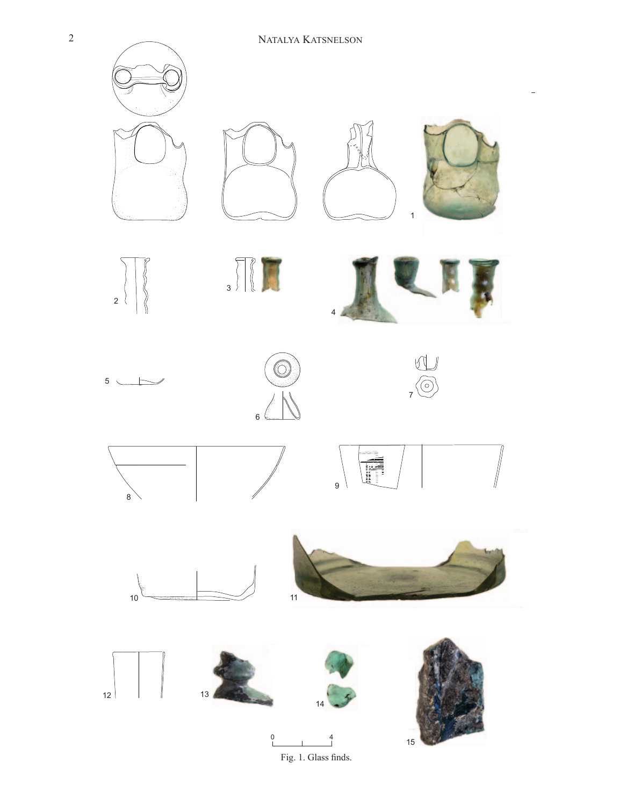

Fig. 1. Glass finds.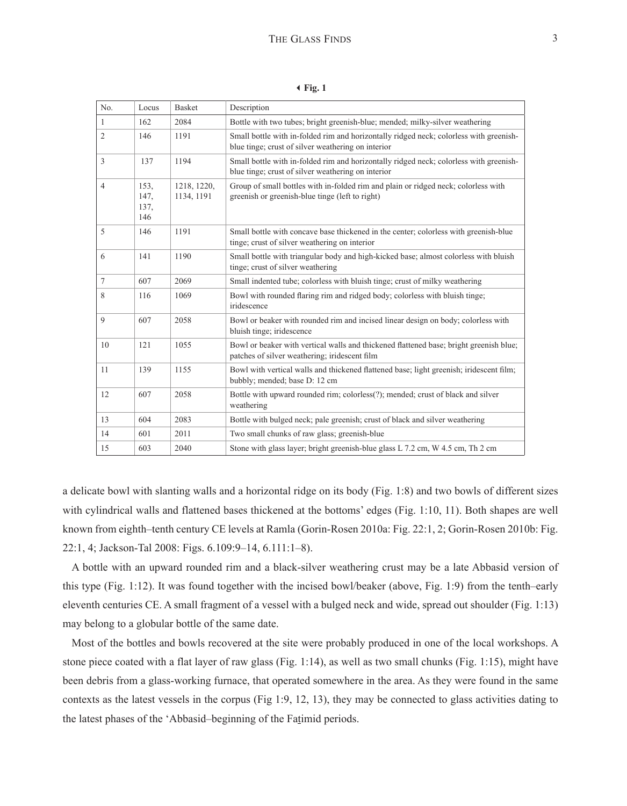3**Fig. 1**

| No.            | Locus                       | <b>Basket</b>             | Description                                                                                                                                  |
|----------------|-----------------------------|---------------------------|----------------------------------------------------------------------------------------------------------------------------------------------|
| $\mathbf{1}$   | 162                         | 2084                      | Bottle with two tubes; bright greenish-blue; mended; milky-silver weathering                                                                 |
| 2              | 146                         | 1191                      | Small bottle with in-folded rim and horizontally ridged neck; colorless with greenish-<br>blue tinge; crust of silver weathering on interior |
| 3              | 137                         | 1194                      | Small bottle with in-folded rim and horizontally ridged neck; colorless with greenish-<br>blue tinge; crust of silver weathering on interior |
| $\overline{4}$ | 153.<br>147,<br>137,<br>146 | 1218, 1220,<br>1134, 1191 | Group of small bottles with in-folded rim and plain or ridged neck; colorless with<br>greenish or greenish-blue tinge (left to right)        |
| 5              | 146                         | 1191                      | Small bottle with concave base thickened in the center; colorless with greenish-blue<br>tinge; crust of silver weathering on interior        |
| 6              | 141                         | 1190                      | Small bottle with triangular body and high-kicked base; almost colorless with bluish<br>tinge; crust of silver weathering                    |
| 7              | 607                         | 2069                      | Small indented tube; colorless with bluish tinge; crust of milky weathering                                                                  |
| 8              | 116                         | 1069                      | Bowl with rounded flaring rim and ridged body; colorless with bluish tinge;<br>iridescence                                                   |
| 9              | 607                         | 2058                      | Bowl or beaker with rounded rim and incised linear design on body; colorless with<br>bluish tinge; iridescence                               |
| 10             | 121                         | 1055                      | Bowl or beaker with vertical walls and thickened flattened base; bright greenish blue;<br>patches of silver weathering; iridescent film      |
| 11             | 139                         | 1155                      | Bowl with vertical walls and thickened flattened base; light greenish; iridescent film;<br>bubbly; mended; base D: 12 cm                     |
| 12             | 607                         | 2058                      | Bottle with upward rounded rim; colorless(?); mended; crust of black and silver<br>weathering                                                |
| 13             | 604                         | 2083                      | Bottle with bulged neck; pale greenish; crust of black and silver weathering                                                                 |
| 14             | 601                         | 2011                      | Two small chunks of raw glass; greenish-blue                                                                                                 |
| 15             | 603                         | 2040                      | Stone with glass layer; bright greenish-blue glass L 7.2 cm, W 4.5 cm, Th 2 cm                                                               |

a delicate bowl with slanting walls and a horizontal ridge on its body (Fig. 1:8) and two bowls of different sizes with cylindrical walls and flattened bases thickened at the bottoms' edges (Fig. 1:10, 11). Both shapes are well known from eighth–tenth century CE levels at Ramla (Gorin-Rosen 2010a: Fig. 22:1, 2; Gorin-Rosen 2010b: Fig. 22:1, 4; Jackson-Tal 2008: Figs. 6.109:9–14, 6.111:1–8).

A bottle with an upward rounded rim and a black-silver weathering crust may be a late Abbasid version of this type (Fig. 1:12). It was found together with the incised bowl/beaker (above, Fig. 1:9) from the tenth–early eleventh centuries CE. A small fragment of a vessel with a bulged neck and wide, spread out shoulder (Fig. 1:13) may belong to a globular bottle of the same date.

Most of the bottles and bowls recovered at the site were probably produced in one of the local workshops. A stone piece coated with a flat layer of raw glass (Fig. 1:14), as well as two small chunks (Fig. 1:15), might have been debris from a glass-working furnace, that operated somewhere in the area. As they were found in the same contexts as the latest vessels in the corpus (Fig 1:9, 12, 13), they may be connected to glass activities dating to the latest phases of the 'Abbasid–beginning of the Fatimid periods.